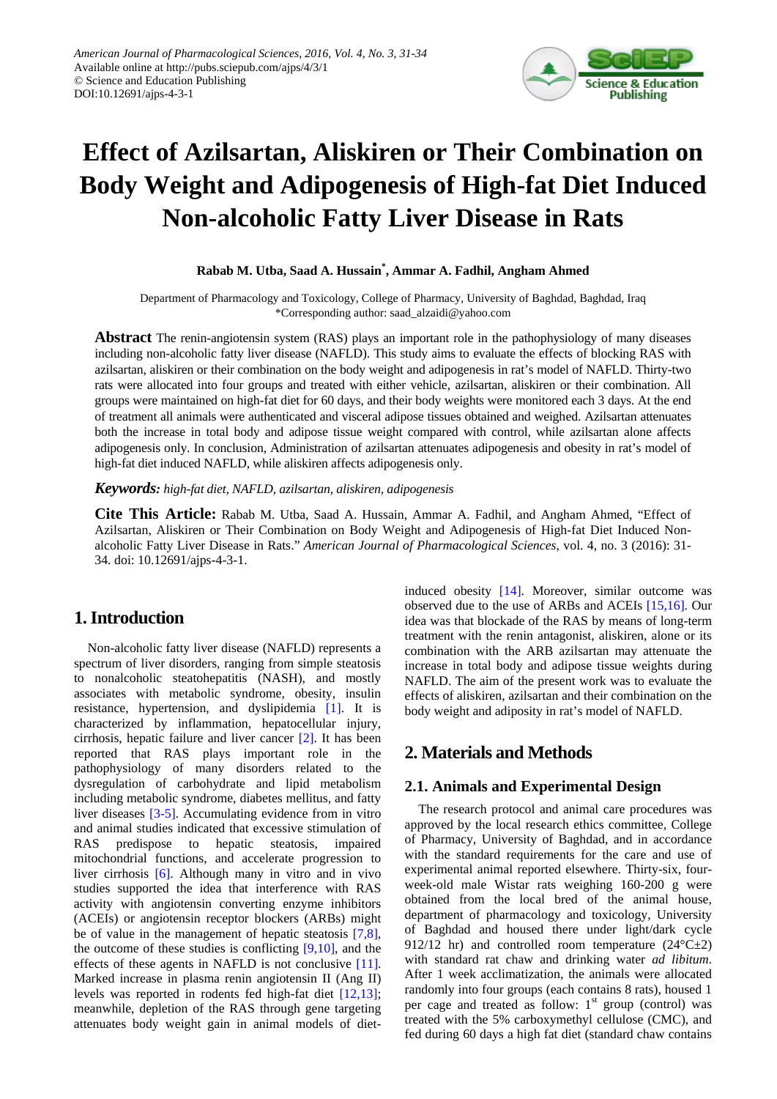

# **Effect of Azilsartan, Aliskiren or Their Combination on Body Weight and Adipogenesis of High-fat Diet Induced Non-alcoholic Fatty Liver Disease in Rats**

**Rabab M. Utba, Saad A. Hussain\* , Ammar A. Fadhil, Angham Ahmed**

Department of Pharmacology and Toxicology, College of Pharmacy, University of Baghdad, Baghdad, Iraq \*Corresponding author: saad\_alzaidi@yahoo.com

**Abstract** The renin-angiotensin system (RAS) plays an important role in the pathophysiology of many diseases including non-alcoholic fatty liver disease (NAFLD). This study aims to evaluate the effects of blocking RAS with azilsartan, aliskiren or their combination on the body weight and adipogenesis in rat's model of NAFLD. Thirty-two rats were allocated into four groups and treated with either vehicle, azilsartan, aliskiren or their combination. All groups were maintained on high-fat diet for 60 days, and their body weights were monitored each 3 days. At the end of treatment all animals were authenticated and visceral adipose tissues obtained and weighed. Azilsartan attenuates both the increase in total body and adipose tissue weight compared with control, while azilsartan alone affects adipogenesis only. In conclusion, Administration of azilsartan attenuates adipogenesis and obesity in rat's model of high-fat diet induced NAFLD, while aliskiren affects adipogenesis only.

*Keywords: high-fat diet, NAFLD, azilsartan, aliskiren, adipogenesis*

**Cite This Article:** Rabab M. Utba, Saad A. Hussain, Ammar A. Fadhil, and Angham Ahmed, "Effect of Azilsartan, Aliskiren or Their Combination on Body Weight and Adipogenesis of High-fat Diet Induced Nonalcoholic Fatty Liver Disease in Rats." *American Journal of Pharmacological Sciences*, vol. 4, no. 3 (2016): 31- 34. doi: 10.12691/ajps-4-3-1.

# **1. Introduction**

Non-alcoholic fatty liver disease (NAFLD) represents a spectrum of liver disorders, ranging from simple steatosis to nonalcoholic steatohepatitis (NASH), and mostly associates with metabolic syndrome, obesity, insulin resistance, hypertension, and dyslipidemia [\[1\].](#page-2-0) It is characterized by inflammation, hepatocellular injury, cirrhosis, hepatic failure and liver cancer [\[2\].](#page-2-1) It has been reported that RAS plays important role in the pathophysiology of many disorders related to the dysregulation of carbohydrate and lipid metabolism including metabolic syndrome, diabetes mellitus, and fatty liver diseases [\[3-5\].](#page-2-2) Accumulating evidence from in vitro and animal studies indicated that excessive stimulation of RAS predispose to hepatic steatosis, impaired mitochondrial functions, and accelerate progression to liver cirrhosis [\[6\].](#page-2-3) Although many in vitro and in vivo studies supported the idea that interference with RAS activity with angiotensin converting enzyme inhibitors (ACEIs) or angiotensin receptor blockers (ARBs) might be of value in the management of hepatic steatosis [\[7,8\],](#page-2-4) the outcome of these studies is conflicting [\[9,10\],](#page-3-0) and the effects of these agents in NAFLD is not conclusive [\[11\].](#page-3-1) Marked increase in plasma renin angiotensin II (Ang II) levels was reported in rodents fed high-fat diet [\[12,13\];](#page-3-2) meanwhile, depletion of the RAS through gene targeting attenuates body weight gain in animal models of dietinduced obesity [\[14\].](#page-3-3) Moreover, similar outcome was observed due to the use of ARBs and ACEIs [\[15,16\].](#page-3-4) Our idea was that blockade of the RAS by means of long-term treatment with the renin antagonist, aliskiren, alone or its combination with the ARB azilsartan may attenuate the increase in total body and adipose tissue weights during NAFLD. The aim of the present work was to evaluate the effects of aliskiren, azilsartan and their combination on the body weight and adiposity in rat's model of NAFLD.

# **2. Materials and Methods**

#### **2.1. Animals and Experimental Design**

The research protocol and animal care procedures was approved by the local research ethics committee, College of Pharmacy, University of Baghdad, and in accordance with the standard requirements for the care and use of experimental animal reported elsewhere. Thirty-six, fourweek-old male Wistar rats weighing 160-200 g were obtained from the local bred of the animal house, department of pharmacology and toxicology, University of Baghdad and housed there under light/dark cycle 912/12 hr) and controlled room temperature  $(24^{\circ}C\pm2)$ with standard rat chaw and drinking water *ad libitum*. After 1 week acclimatization, the animals were allocated randomly into four groups (each contains 8 rats), housed 1 per cage and treated as follow: 1<sup>st</sup> group (control) was treated with the 5% carboxymethyl cellulose (CMC), and fed during 60 days a high fat diet (standard chaw contains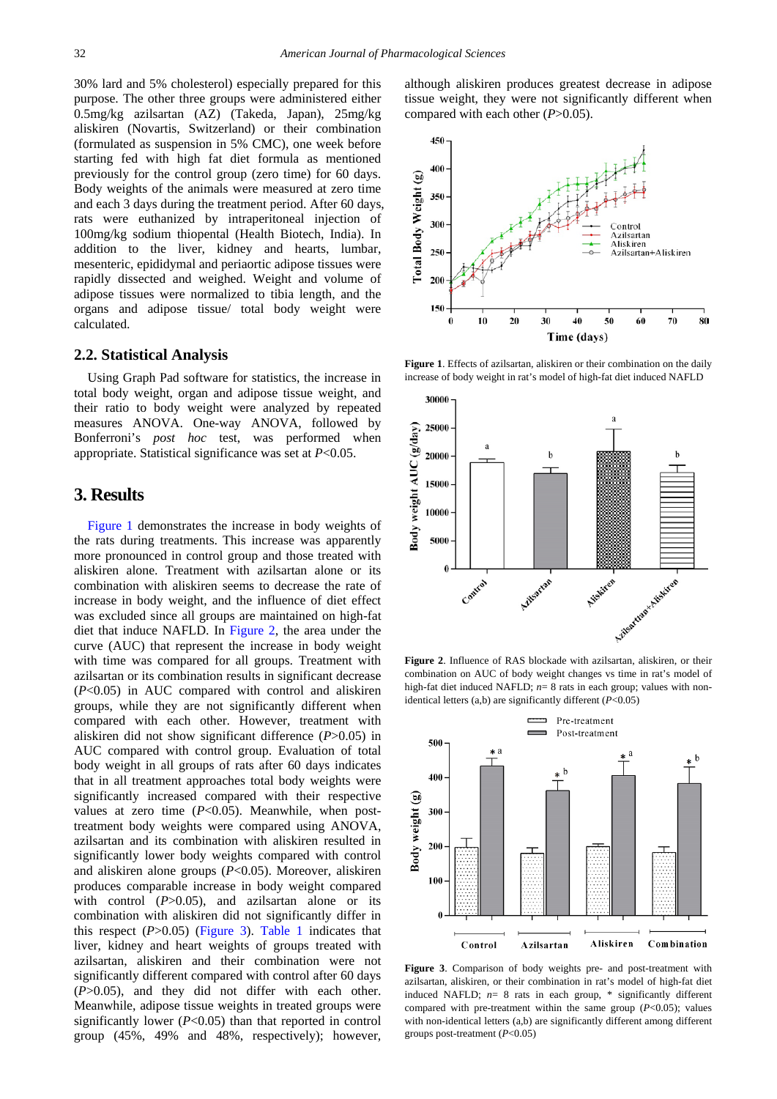30% lard and 5% cholesterol) especially prepared for this purpose. The other three groups were administered either 0.5mg/kg azilsartan (AZ) (Takeda, Japan), 25mg/kg aliskiren (Novartis, Switzerland) or their combination (formulated as suspension in 5% CMC), one week before starting fed with high fat diet formula as mentioned previously for the control group (zero time) for 60 days. Body weights of the animals were measured at zero time and each 3 days during the treatment period. After 60 days, rats were euthanized by intraperitoneal injection of 100mg/kg sodium thiopental (Health Biotech, India). In addition to the liver, kidney and hearts, lumbar, mesenteric, epididymal and periaortic adipose tissues were rapidly dissected and weighed. Weight and volume of adipose tissues were normalized to tibia length, and the organs and adipose tissue/ total body weight were calculated.

#### **2.2. Statistical Analysis**

Using Graph Pad software for statistics, the increase in total body weight, organ and adipose tissue weight, and their ratio to body weight were analyzed by repeated measures ANOVA. One-way ANOVA, followed by Bonferroni's *post hoc* test, was performed when appropriate. Statistical significance was set at *P*<0.05.

## **3. Results**

[Figure 1](#page-1-0) demonstrates the increase in body weights of the rats during treatments. This increase was apparently more pronounced in control group and those treated with aliskiren alone. Treatment with azilsartan alone or its combination with aliskiren seems to decrease the rate of increase in body weight, and the influence of diet effect was excluded since all groups are maintained on high-fat diet that induce NAFLD. In [Figure 2,](#page-1-1) the area under the curve (AUC) that represent the increase in body weight with time was compared for all groups. Treatment with azilsartan or its combination results in significant decrease (*P*<0.05) in AUC compared with control and aliskiren groups, while they are not significantly different when compared with each other. However, treatment with aliskiren did not show significant difference (*P*>0.05) in AUC compared with control group. Evaluation of total body weight in all groups of rats after 60 days indicates that in all treatment approaches total body weights were significantly increased compared with their respective values at zero time (*P*<0.05). Meanwhile, when posttreatment body weights were compared using ANOVA, azilsartan and its combination with aliskiren resulted in significantly lower body weights compared with control and aliskiren alone groups (*P*<0.05). Moreover, aliskiren produces comparable increase in body weight compared with control  $(P>0.05)$ , and azilsartan alone or its combination with aliskiren did not significantly differ in this respect  $(P>0.05)$  [\(Figure 3\)](#page-1-2). [Table 1](#page-2-5) indicates that liver, kidney and heart weights of groups treated with azilsartan, aliskiren and their combination were not significantly different compared with control after 60 days (*P*>0.05), and they did not differ with each other. Meanwhile, adipose tissue weights in treated groups were significantly lower (*P*<0.05) than that reported in control group (45%, 49% and 48%, respectively); however, although aliskiren produces greatest decrease in adipose tissue weight, they were not significantly different when compared with each other (*P*>0.05).

<span id="page-1-0"></span>

**Figure 1**. Effects of azilsartan, aliskiren or their combination on the daily increase of body weight in rat's model of high-fat diet induced NAFLD

<span id="page-1-1"></span>

**Figure 2**. Influence of RAS blockade with azilsartan, aliskiren, or their combination on AUC of body weight changes vs time in rat's model of high-fat diet induced NAFLD;  $n=8$  rats in each group; values with nonidentical letters (a,b) are significantly different (*P*<0.05)

<span id="page-1-2"></span>

**Figure 3**. Comparison of body weights pre- and post-treatment with azilsartan, aliskiren, or their combination in rat's model of high-fat diet induced NAFLD; *n*= 8 rats in each group, \* significantly different compared with pre-treatment within the same group  $(P<0.05)$ ; values with non-identical letters (a,b) are significantly different among different groups post-treatment (*P*<0.05)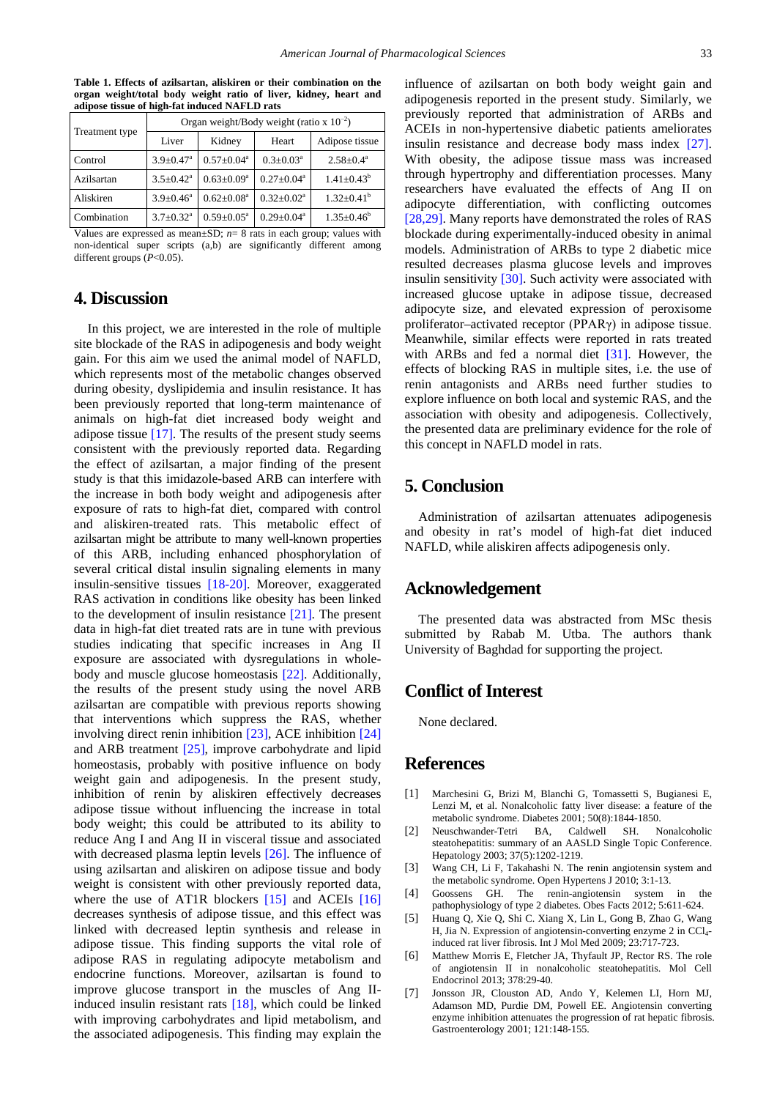<span id="page-2-5"></span>

| Treatment type | Organ weight/Body weight (ratio x $10^{-2}$ ) |                            |                           |                   |
|----------------|-----------------------------------------------|----------------------------|---------------------------|-------------------|
|                | Liver                                         | Kidney                     | Heart                     | Adipose tissue    |
| Control        | $3.9 \pm 0.47$ <sup>a</sup>                   | $0.57 \pm 0.04^a$          | $0.3 \pm 0.03^{\text{a}}$ | $2.58 \pm 0.4^a$  |
| Azilsartan     | $3.5 \pm 0.42^a$                              | $0.63 \pm 0.09^a$          | $0.27 \pm 0.04^a$         | $1.41 \pm 0.43^b$ |
| Aliskiren      | $3.9 \pm 0.46^a$                              | $0.62 \pm 0.08^a$          | $0.32 \pm 0.02^a$         | $1.32 \pm 0.41^b$ |
| Combination    | $3.7 + 0.32$ <sup>a</sup>                     | $0.59 \pm 0.05^{\text{a}}$ | $0.29 + 0.04^a$           | $1.35 \pm 0.46^b$ |

**Table 1. Effects of azilsartan, aliskiren or their combination on the organ weight/total body weight ratio of liver, kidney, heart and adipose tissue of high-fat induced NAFLD rats**

Values are expressed as mean $\pm$ SD;  $n=8$  rats in each group; values with non-identical super scripts (a,b) are significantly different among different groups (*P*<0.05).

# **4. Discussion**

In this project, we are interested in the role of multiple site blockade of the RAS in adipogenesis and body weight gain. For this aim we used the animal model of NAFLD, which represents most of the metabolic changes observed during obesity, dyslipidemia and insulin resistance. It has been previously reported that long-term maintenance of animals on high-fat diet increased body weight and adipose tissue  $[17]$ . The results of the present study seems consistent with the previously reported data. Regarding the effect of azilsartan, a major finding of the present study is that this imidazole-based ARB can interfere with the increase in both body weight and adipogenesis after exposure of rats to high-fat diet, compared with control and aliskiren-treated rats. This metabolic effect of azilsartan might be attribute to many well-known properties of this ARB, including enhanced phosphorylation of several critical distal insulin signaling elements in many insulin-sensitive tissues [\[18-20\].](#page-3-6) Moreover, exaggerated RAS activation in conditions like obesity has been linked to the development of insulin resistance [\[21\].](#page-3-7) The present data in high-fat diet treated rats are in tune with previous studies indicating that specific increases in Ang II exposure are associated with dysregulations in wholebody and muscle glucose homeostasis [\[22\].](#page-3-8) Additionally, the results of the present study using the novel ARB azilsartan are compatible with previous reports showing that interventions which suppress the RAS, whether involving direct renin inhibition [\[23\],](#page-3-9) ACE inhibition [\[24\]](#page-3-10) and ARB treatment [\[25\],](#page-3-11) improve carbohydrate and lipid homeostasis, probably with positive influence on body weight gain and adipogenesis. In the present study, inhibition of renin by aliskiren effectively decreases adipose tissue without influencing the increase in total body weight; this could be attributed to its ability to reduce Ang I and Ang II in visceral tissue and associated with decreased plasma leptin levels [\[26\].](#page-3-12) The influence of using azilsartan and aliskiren on adipose tissue and body weight is consistent with other previously reported data, where the use of AT1R blockers [\[15\]](#page-3-4) and ACEIs [\[16\]](#page-3-13) decreases synthesis of adipose tissue, and this effect was linked with decreased leptin synthesis and release in adipose tissue. This finding supports the vital role of adipose RAS in regulating adipocyte metabolism and endocrine functions. Moreover, azilsartan is found to improve glucose transport in the muscles of Ang IIinduced insulin resistant rats [\[18\],](#page-3-6) which could be linked with improving carbohydrates and lipid metabolism, and the associated adipogenesis. This finding may explain the

influence of azilsartan on both body weight gain and adipogenesis reported in the present study. Similarly, we previously reported that administration of ARBs and ACEIs in non-hypertensive diabetic patients ameliorates insulin resistance and decrease body mass index [\[27\].](#page-3-14) With obesity, the adipose tissue mass was increased through hypertrophy and differentiation processes. Many researchers have evaluated the effects of Ang II on adipocyte differentiation, with conflicting outcomes [\[28,29\].](#page-3-15) Many reports have demonstrated the roles of RAS blockade during experimentally-induced obesity in animal models. Administration of ARBs to type 2 diabetic mice resulted decreases plasma glucose levels and improves insulin sensitivity [\[30\].](#page-3-16) Such activity were associated with increased glucose uptake in adipose tissue, decreased adipocyte size, and elevated expression of peroxisome proliferator–activated receptor (PPARγ) in adipose tissue. Meanwhile, similar effects were reported in rats treated with ARBs and fed a normal diet [\[31\].](#page-3-17) However, the effects of blocking RAS in multiple sites, i.e. the use of renin antagonists and ARBs need further studies to explore influence on both local and systemic RAS, and the association with obesity and adipogenesis. Collectively, the presented data are preliminary evidence for the role of this concept in NAFLD model in rats.

# **5. Conclusion**

Administration of azilsartan attenuates adipogenesis and obesity in rat's model of high-fat diet induced NAFLD, while aliskiren affects adipogenesis only.

### **Acknowledgement**

The presented data was abstracted from MSc thesis submitted by Rabab M. Utba. The authors thank University of Baghdad for supporting the project.

#### **Conflict of Interest**

None declared.

### **References**

- <span id="page-2-0"></span>[1] Marchesini G, Brizi M, Blanchi G, Tomassetti S, Bugianesi E, Lenzi M, et al. Nonalcoholic fatty liver disease: a feature of the metabolic syndrome. Diabetes 2001; 50(8):1844-1850.
- <span id="page-2-1"></span>[2] Neuschwander-Tetri BA, Caldwell SH. Nonalcoholic steatohepatitis: summary of an AASLD Single Topic Conference. Hepatology 2003; 37(5):1202-1219.
- <span id="page-2-2"></span>[3] Wang CH, Li F, Takahashi N. The renin angiotensin system and the metabolic syndrome. Open Hypertens J 2010; 3:1-13.
- [4] Goossens GH. The renin-angiotensin system in the pathophysiology of type 2 diabetes. Obes Facts 2012; 5:611-624.
- [5] Huang Q, Xie Q, Shi C. Xiang X, Lin L, Gong B, Zhao G, Wang H, Jia N. Expression of angiotensin-converting enzyme 2 in CCl4 induced rat liver fibrosis. Int J Mol Med 2009; 23:717-723.
- <span id="page-2-3"></span>[6] Matthew Morris E, Fletcher JA, Thyfault JP, Rector RS. The role of angiotensin II in nonalcoholic steatohepatitis. Mol Cell Endocrinol 2013; 378:29-40.
- <span id="page-2-4"></span>[7] Jonsson JR, Clouston AD, Ando Y, Kelemen LI, Horn MJ, Adamson MD, Purdie DM, Powell EE. Angiotensin converting enzyme inhibition attenuates the progression of rat hepatic fibrosis. Gastroenterology 2001; 121:148-155.